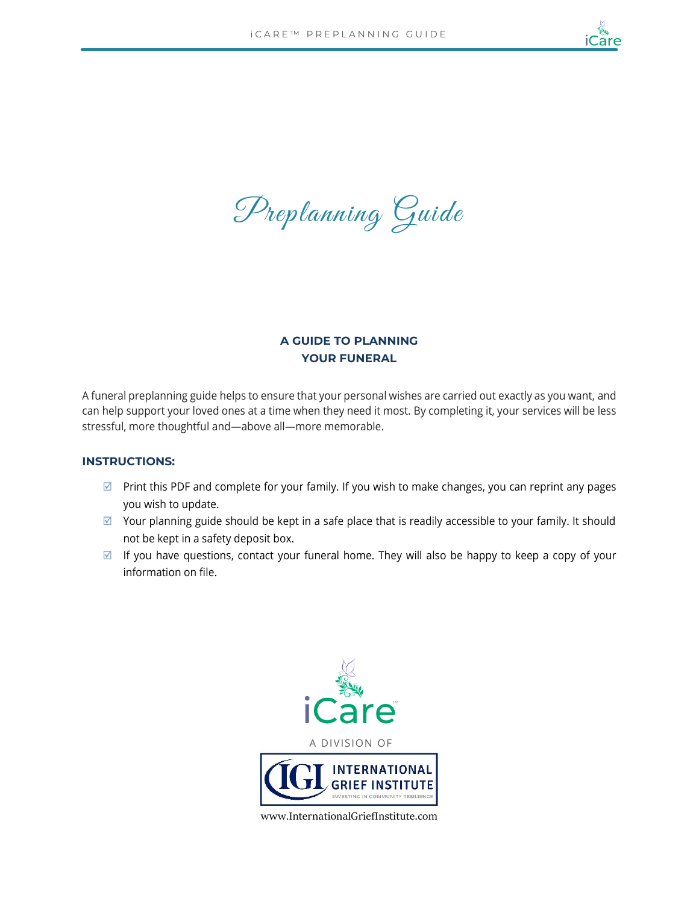

Preplanning Guide

# **A GUIDE TO PLANNING YOUR FUNERAL**

A funeral preplanning guide helps to ensure that your personal wishes are carried out exactly as you want, and can help support your loved ones at a time when they need it most. By completing it, your services will be less stressful, more thoughtful and—above all—more memorable.

#### **INSTRUCTIONS:**

- $\boxtimes$  Print this PDF and complete for your family. If you wish to make changes, you can reprint any pages you wish to update.
- $\boxtimes$  Your planning guide should be kept in a safe place that is readily accessible to your family. It should not be kept in a safety deposit box.
- $\boxtimes$  If you have questions, contact your funeral home. They will also be happy to keep a copy of your information on file.



www.InternationalGriefInstitute.com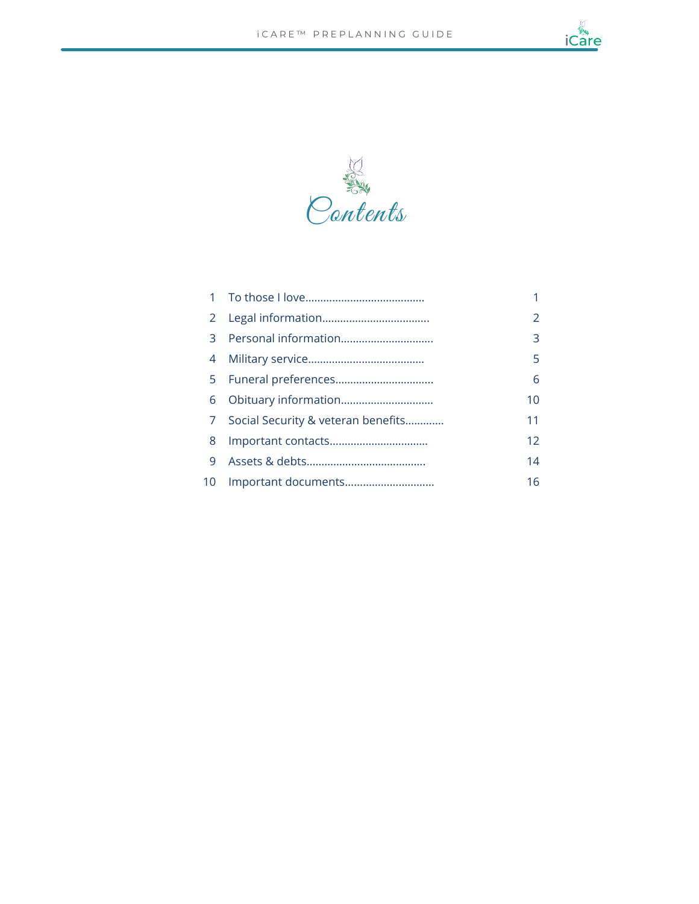



| 2  |                                    | $\mathcal{P}$   |
|----|------------------------------------|-----------------|
| 3  |                                    | 3               |
| 4  |                                    | 5               |
| 5. |                                    | 6               |
| 6  |                                    | 10              |
| 7  | Social Security & veteran benefits | 11              |
| 8  |                                    | 12 <sup>°</sup> |
| 9  |                                    | 14              |
| 10 | Important documents                | 16              |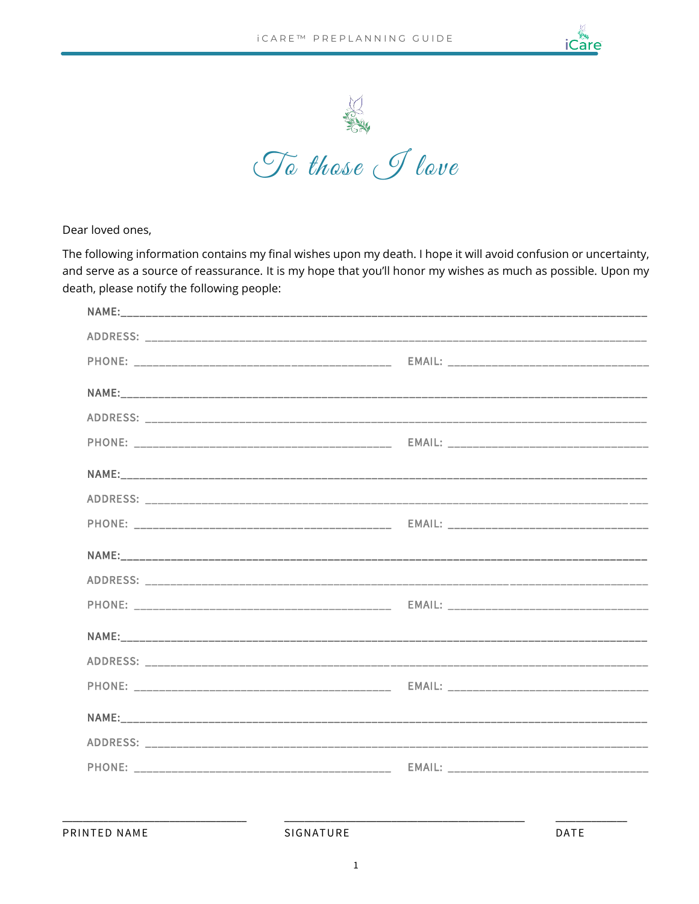



Dear loved ones,

The following information contains my final wishes upon my death. I hope it will avoid confusion or uncertainty, and serve as a source of reassurance. It is my hope that you'll honor my wishes as much as possible. Upon my death, please notify the following people:

PRINTED NAME

SIGNATURE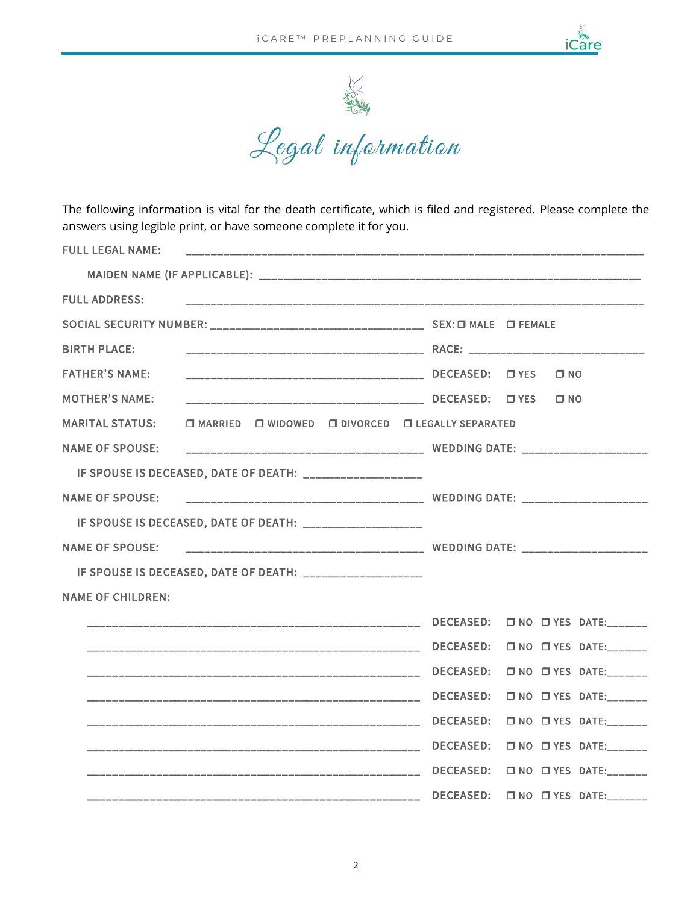



The following information is vital for the death certificate, which is filed and registered. Please complete the answers using legible print, or have someone complete it for you.

| <b>FULL LEGAL NAME:</b>                                            |  |  |  |                          |              |  |
|--------------------------------------------------------------------|--|--|--|--------------------------|--------------|--|
|                                                                    |  |  |  |                          |              |  |
|                                                                    |  |  |  |                          |              |  |
|                                                                    |  |  |  |                          |              |  |
| <b>BIRTH PLACE:</b>                                                |  |  |  |                          |              |  |
| <b>FATHER'S NAME:</b>                                              |  |  |  |                          |              |  |
| <b>MOTHER'S NAME:</b>                                              |  |  |  |                          | $\square$ NO |  |
| MARITAL STATUS: O MARRIED O WIDOWED O DIVORCED O LEGALLY SEPARATED |  |  |  |                          |              |  |
| <b>NAME OF SPOUSE:</b>                                             |  |  |  |                          |              |  |
| IF SPOUSE IS DECEASED, DATE OF DEATH: ___________________          |  |  |  |                          |              |  |
| <b>NAME OF SPOUSE:</b>                                             |  |  |  |                          |              |  |
| IF SPOUSE IS DECEASED, DATE OF DEATH: ___________________          |  |  |  |                          |              |  |
| <b>NAME OF SPOUSE:</b>                                             |  |  |  |                          |              |  |
| IF SPOUSE IS DECEASED, DATE OF DEATH: ____________________         |  |  |  |                          |              |  |
| <b>NAME OF CHILDREN:</b>                                           |  |  |  |                          |              |  |
|                                                                    |  |  |  |                          |              |  |
|                                                                    |  |  |  | DECEASED: ONO OYES DATE: |              |  |
|                                                                    |  |  |  |                          |              |  |
|                                                                    |  |  |  |                          |              |  |
|                                                                    |  |  |  | DECEASED: ONO OYES DATE: |              |  |
|                                                                    |  |  |  |                          |              |  |
|                                                                    |  |  |  |                          |              |  |
|                                                                    |  |  |  |                          |              |  |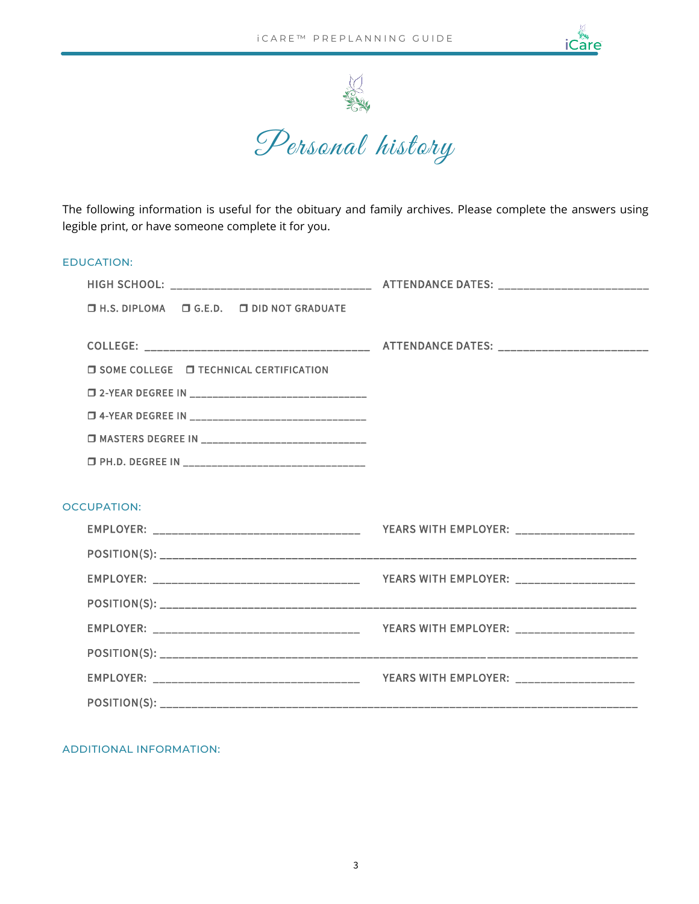



The following information is useful for the obituary and family archives. Please complete the answers using legible print, or have someone complete it for you.

| <b>EDUCATION:</b>                                         |  |
|-----------------------------------------------------------|--|
|                                                           |  |
| $\Box$ H.S. DIPLOMA $\Box$ G.E.D. $\Box$ DID NOT GRADUATE |  |
|                                                           |  |
|                                                           |  |
| <b>O SOME COLLEGE O TECHNICAL CERTIFICATION</b>           |  |
|                                                           |  |
|                                                           |  |
|                                                           |  |
|                                                           |  |
|                                                           |  |
| <b>OCCUPATION:</b>                                        |  |
|                                                           |  |
|                                                           |  |
|                                                           |  |
|                                                           |  |
|                                                           |  |
|                                                           |  |
|                                                           |  |
|                                                           |  |
|                                                           |  |

ADDITIONAL INFORMATION: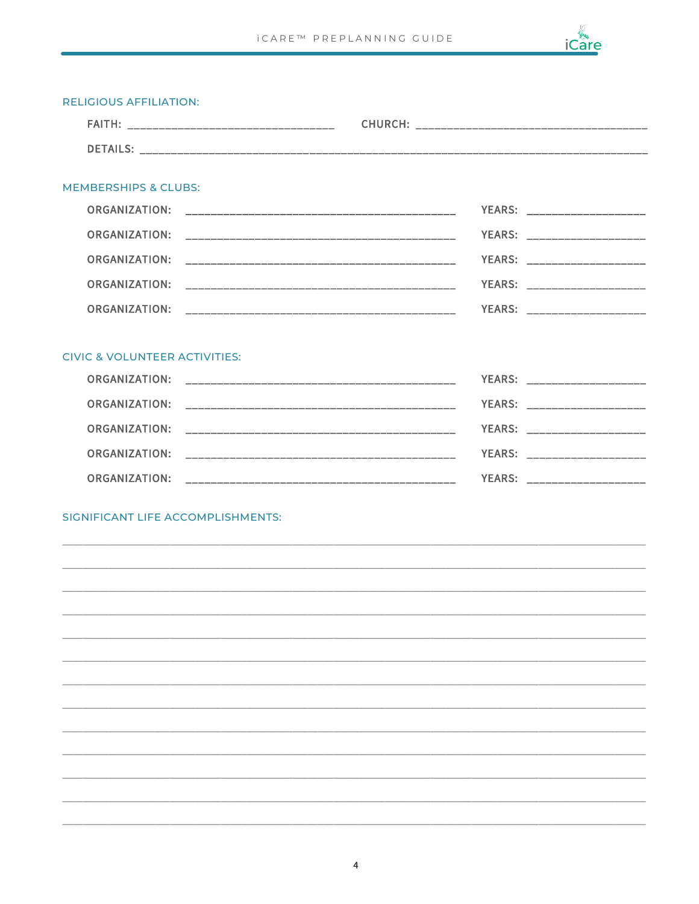

|                               | <b>MEMBERSHIPS &amp; CLUBS:</b>          |
|-------------------------------|------------------------------------------|
| YEARS: ______________________ | <b>ORGANIZATION:</b>                     |
| YEARS: ______________________ | <b>ORGANIZATION:</b>                     |
| YEARS: ______________________ | <b>ORGANIZATION:</b>                     |
| YEARS: _____________________  | <b>ORGANIZATION:</b>                     |
| YEARS: ______________________ | <b>ORGANIZATION:</b>                     |
|                               |                                          |
|                               | <b>CIVIC &amp; VOLUNTEER ACTIVITIES:</b> |
| YEARS: ______________________ |                                          |
| YEARS: ____________________   | <b>ORGANIZATION:</b>                     |
| YEARS: ____________________   | <b>ORGANIZATION:</b>                     |
| YEARS: ______________________ | <b>ORGANIZATION:</b>                     |
| YEARS: _____________________  | <b>ORGANIZATION:</b>                     |
|                               |                                          |
|                               | SIGNIFICANT LIFE ACCOMPLISHMENTS:        |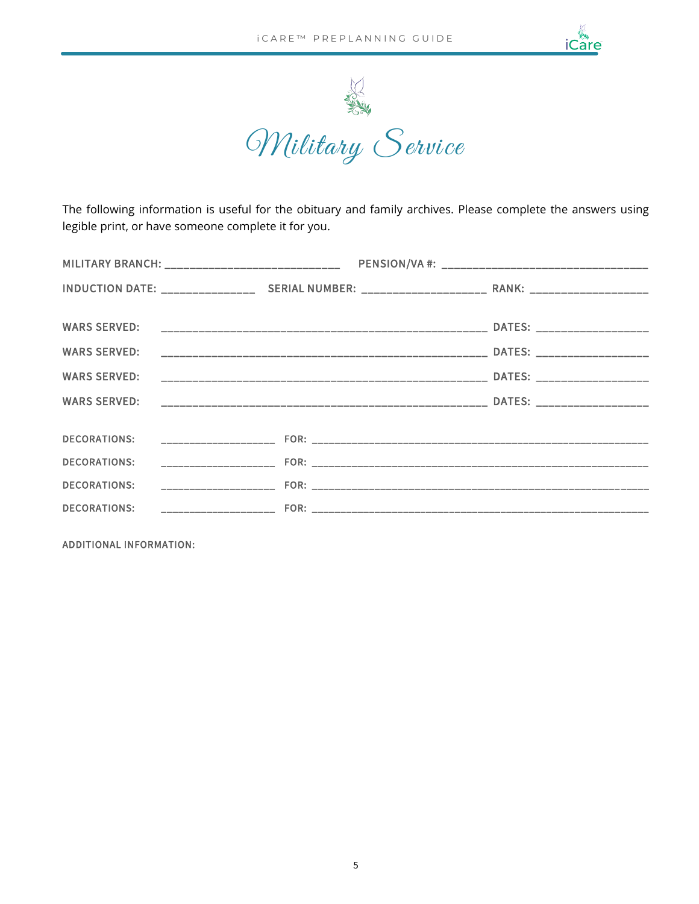



The following information is useful for the obituary and family archives. Please complete the answers using legible print, or have someone complete it for you.

ADDITIONAL INFORMATION: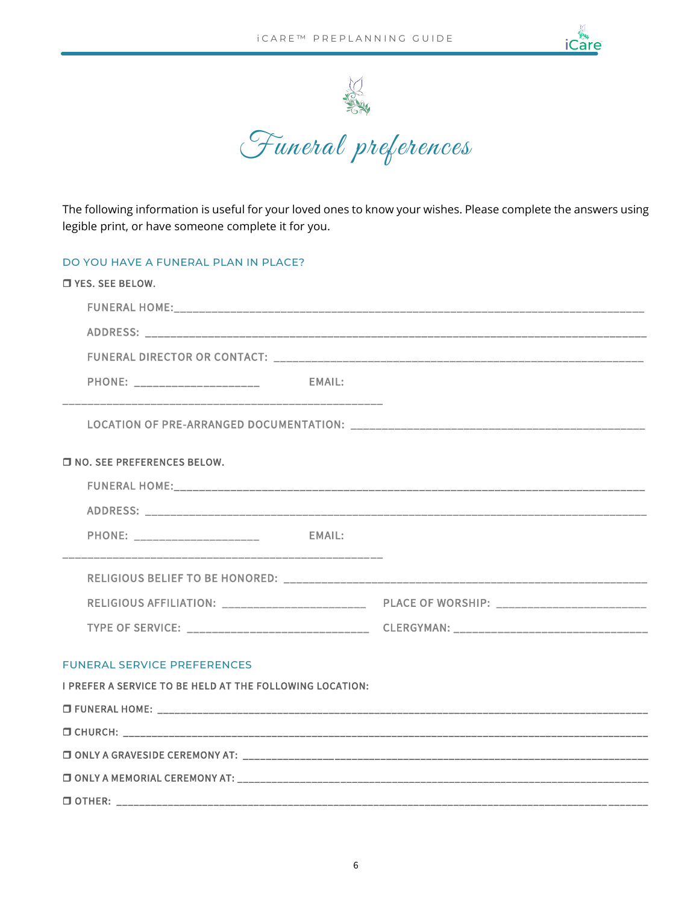



The following information is useful for your loved ones to know your wishes. Please complete the answers using legible print, or have someone complete it for you.

### DO YOU HAVE A FUNERAL PLAN IN PLACE?

| <b>THES. SEE BELOW.</b>                                         |  |
|-----------------------------------------------------------------|--|
|                                                                 |  |
|                                                                 |  |
|                                                                 |  |
|                                                                 |  |
|                                                                 |  |
| <b>INO. SEE PREFERENCES BELOW.</b>                              |  |
|                                                                 |  |
|                                                                 |  |
|                                                                 |  |
|                                                                 |  |
|                                                                 |  |
|                                                                 |  |
| <b>FUNERAL SERVICE PREFERENCES</b>                              |  |
| <b>I PREFER A SERVICE TO BE HELD AT THE FOLLOWING LOCATION:</b> |  |
|                                                                 |  |
|                                                                 |  |
|                                                                 |  |
|                                                                 |  |
|                                                                 |  |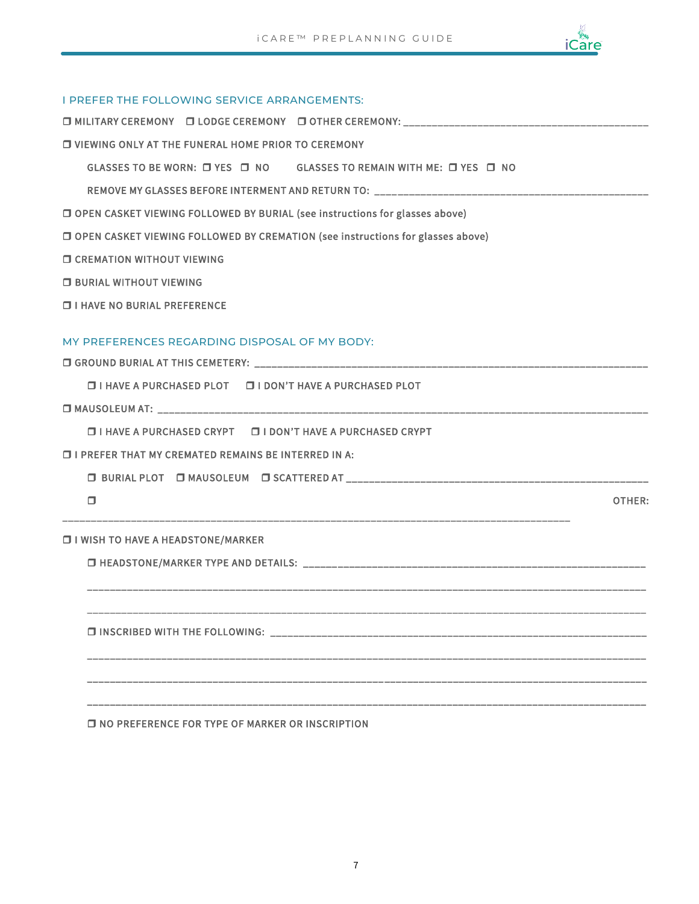

| <b>I PREFER THE FOLLOWING SERVICE ARRANGEMENTS:</b>                              |        |
|----------------------------------------------------------------------------------|--------|
|                                                                                  |        |
| <b>O VIEWING ONLY AT THE FUNERAL HOME PRIOR TO CEREMONY</b>                      |        |
| GLASSES TO BE WORN: □ YES □ NO GLASSES TO REMAIN WITH ME: □ YES □ NO             |        |
|                                                                                  |        |
| O OPEN CASKET VIEWING FOLLOWED BY BURIAL (see instructions for glasses above)    |        |
| O OPEN CASKET VIEWING FOLLOWED BY CREMATION (see instructions for glasses above) |        |
| <b>O CREMATION WITHOUT VIEWING</b>                                               |        |
| <b>O BURIAL WITHOUT VIEWING</b>                                                  |        |
| <b>O I HAVE NO BURIAL PREFERENCE</b>                                             |        |
| MY PREFERENCES REGARDING DISPOSAL OF MY BODY:                                    |        |
|                                                                                  |        |
| <b>O I HAVE A PURCHASED PLOT O I DON'T HAVE A PURCHASED PLOT</b>                 |        |
|                                                                                  |        |
| □ I HAVE A PURCHASED CRYPT □ I DON'T HAVE A PURCHASED CRYPT                      |        |
| <b>O I PREFER THAT MY CREMATED REMAINS BE INTERRED IN A:</b>                     |        |
|                                                                                  |        |
| $\Box$                                                                           | OTHER: |
| <b>O I WISH TO HAVE A HEADSTONE/MARKER</b>                                       |        |
|                                                                                  |        |
|                                                                                  |        |
|                                                                                  |        |
|                                                                                  |        |
|                                                                                  |        |
|                                                                                  |        |
|                                                                                  |        |

 $\square$  NO PREFERENCE FOR TYPE OF MARKER OR INSCRIPTION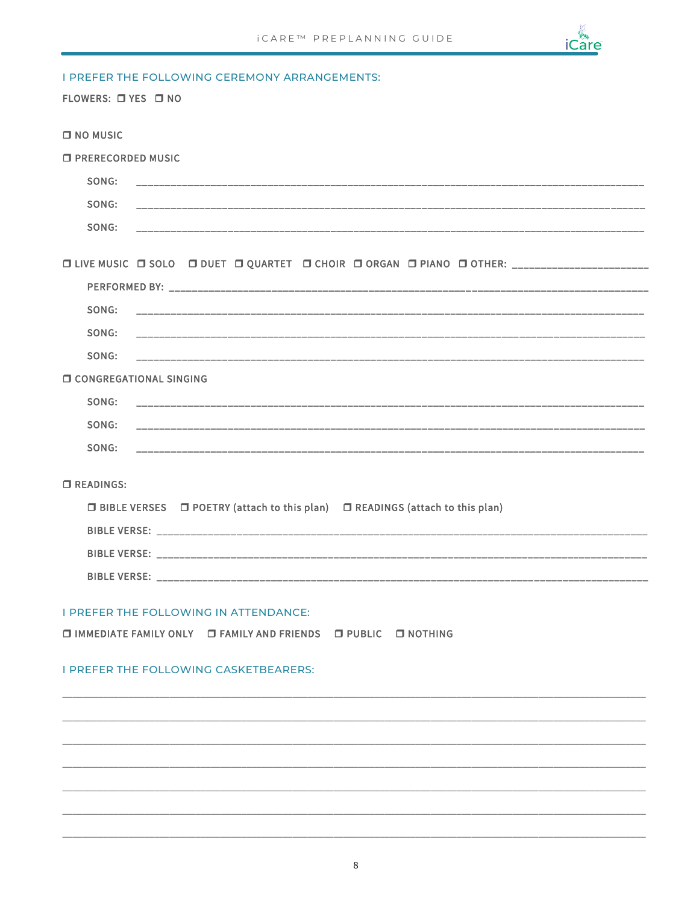

# I PREFER THE FOLLOWING CEREMONY ARRANGEMENTS:

| FLOWERS: <b>D</b> YES <b>D</b> NO                                                                   |
|-----------------------------------------------------------------------------------------------------|
| $\Box$ NO MUSIC                                                                                     |
| <b>O PRERECORDED MUSIC</b>                                                                          |
| SONG:                                                                                               |
| SONG:                                                                                               |
| SONG:                                                                                               |
|                                                                                                     |
| □ LIVE MUSIC □ SOLO □ DUET □ QUARTET □ CHOIR □ ORGAN □ PIANO □ OTHER: _____________________________ |
|                                                                                                     |
| SONG:                                                                                               |
| SONG:                                                                                               |
| SONG:                                                                                               |
| <b>O CONGREGATIONAL SINGING</b>                                                                     |
| SONG:                                                                                               |
| SONG:                                                                                               |
| SONG:                                                                                               |
|                                                                                                     |
| <b>O</b> READINGS:                                                                                  |
| □ BIBLE VERSES □ POETRY (attach to this plan) □ READINGS (attach to this plan)                      |
|                                                                                                     |
|                                                                                                     |
|                                                                                                     |
| <b>I PREFER THE FOLLOWING IN ATTENDANCE:</b>                                                        |
| $\Box$ IMMEDIATE FAMILY ONLY $\Box$ FAMILY AND FRIENDS $\Box$ PUBLIC $\Box$ NOTHING                 |
|                                                                                                     |
| <b>I PREFER THE FOLLOWING CASKETBEARERS:</b>                                                        |
|                                                                                                     |
|                                                                                                     |
|                                                                                                     |
|                                                                                                     |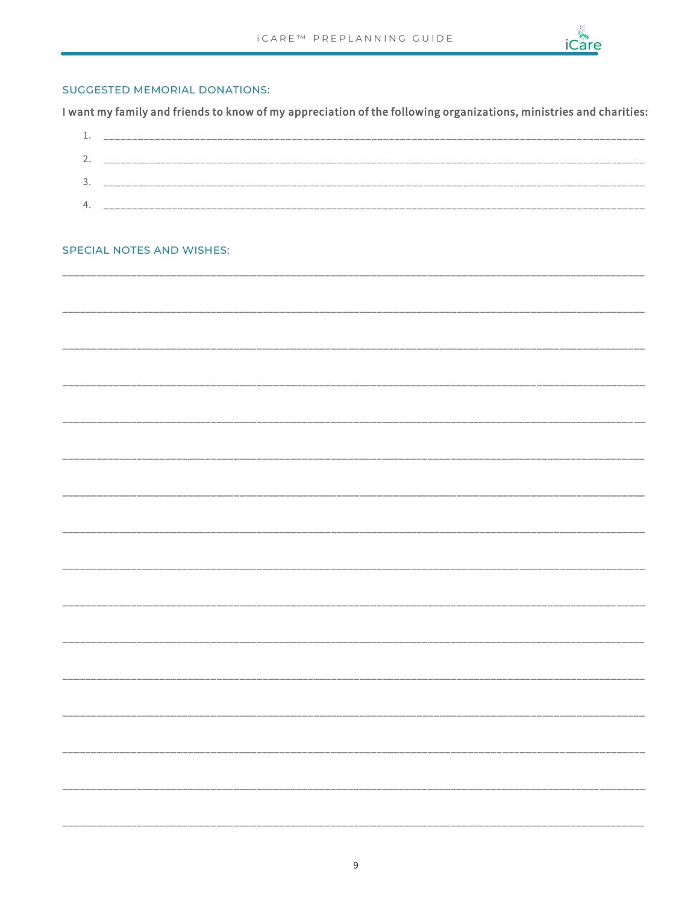

# **SUGGESTED MEMORIAL DONATIONS:**

I want my family and friends to know of my appreciation of the following organizations, ministries and charities:

| $\mathcal{L}$ |  |
|---------------|--|
| . ت           |  |
|               |  |

#### SPECIAL NOTES AND WISHES: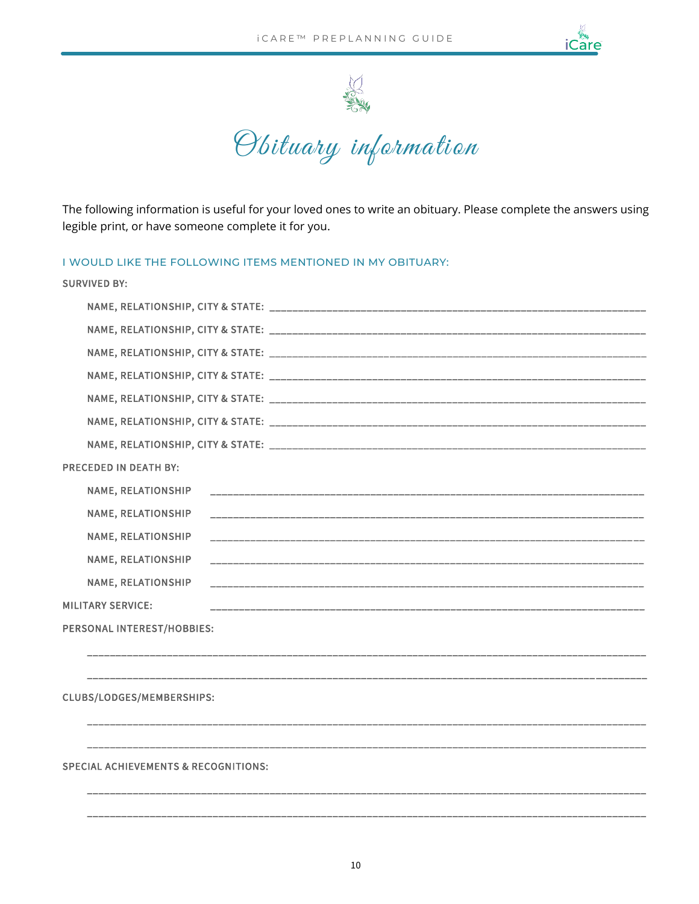



Son Endemand States

The following information is useful for your loved ones to write an obituary. Please complete the answers using legible print, or have someone complete it for you.

#### I WOULD LIKE THE FOLLOWING ITEMS MENTIONED IN MY OBITUARY:

| <b>SURVIVED BY:</b>                             |
|-------------------------------------------------|
|                                                 |
|                                                 |
|                                                 |
|                                                 |
|                                                 |
|                                                 |
|                                                 |
| <b>PRECEDED IN DEATH BY:</b>                    |
| NAME, RELATIONSHIP                              |
| NAME, RELATIONSHIP                              |
| NAME, RELATIONSHIP                              |
| NAME, RELATIONSHIP                              |
| <b>NAME, RELATIONSHIP</b>                       |
| <b>MILITARY SERVICE:</b>                        |
| PERSONAL INTEREST/HOBBIES:                      |
|                                                 |
|                                                 |
| CLUBS/LODGES/MEMBERSHIPS:                       |
|                                                 |
|                                                 |
| <b>SPECIAL ACHIEVEMENTS &amp; RECOGNITIONS:</b> |
|                                                 |
|                                                 |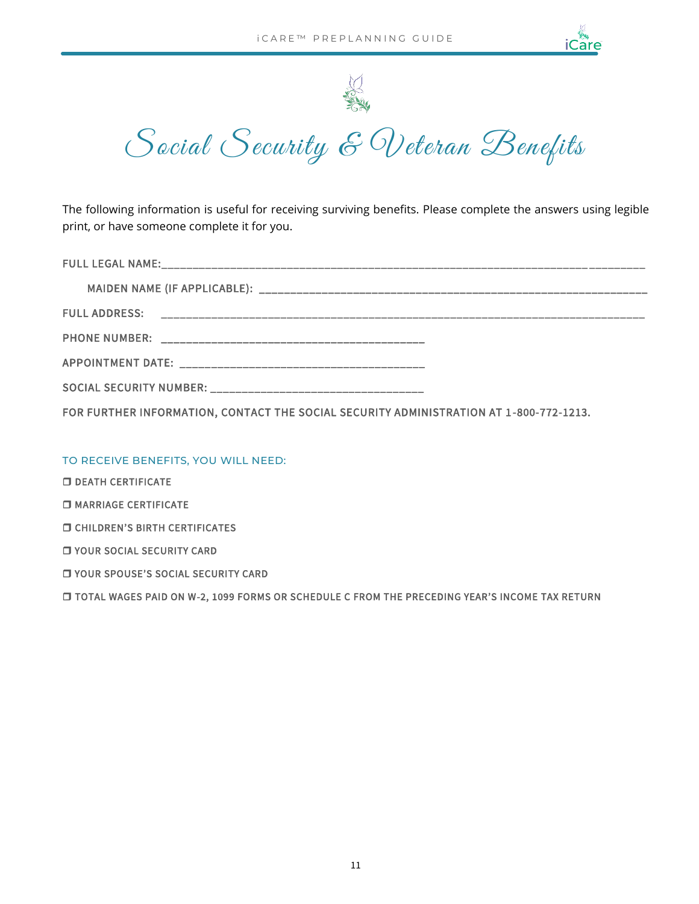



Social Security & Veteran Benefits

The following information is useful for receiving surviving benefits. Please complete the answers using legible print, or have someone complete it for you.

| <b>FULL ADDRESS:</b> |
|----------------------|
|                      |
|                      |
|                      |

FOR FURTHER INFORMATION, CONTACT THE SOCIAL SECURITY ADMINISTRATION AT 1 -800-772-1213.

### TO RECEIVE BENEFITS, YOU WILL NEED:

- **DEATH CERTIFICATE**
- **O MARRIAGE CERTIFICATE**
- CHILDREN'S BIRTH CERTIFICATES
- **U YOUR SOCIAL SECURITY CARD**
- **D** YOUR SPOUSE'S SOCIAL SECURITY CARD

TOTAL WAGES PAID ON W-2, 1099 FORMS OR SCHEDULE C FROM THE PRECEDING YEAR'S INCOME TAX RETURN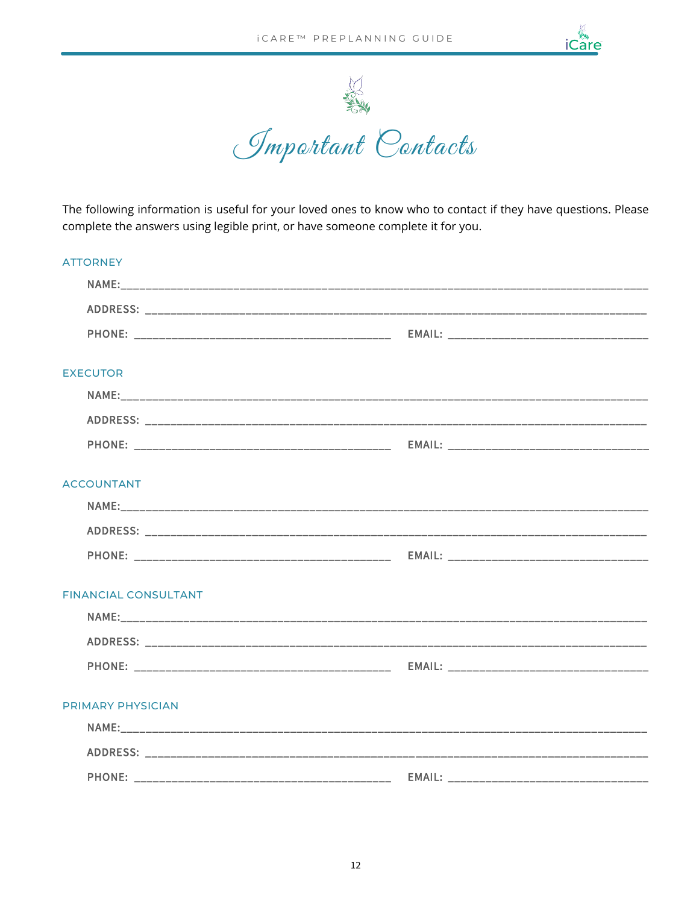



The following information is useful for your loved ones to know who to contact if they have questions. Please complete the answers using legible print, or have someone complete it for you.

| <b>ATTORNEY</b>             |  |
|-----------------------------|--|
|                             |  |
|                             |  |
|                             |  |
| <b>EXECUTOR</b>             |  |
|                             |  |
|                             |  |
|                             |  |
| <b>ACCOUNTANT</b>           |  |
|                             |  |
|                             |  |
|                             |  |
| <b>FINANCIAL CONSULTANT</b> |  |
|                             |  |
|                             |  |
|                             |  |
| <b>PRIMARY PHYSICIAN</b>    |  |
|                             |  |
|                             |  |
| <b>PHONE:</b>               |  |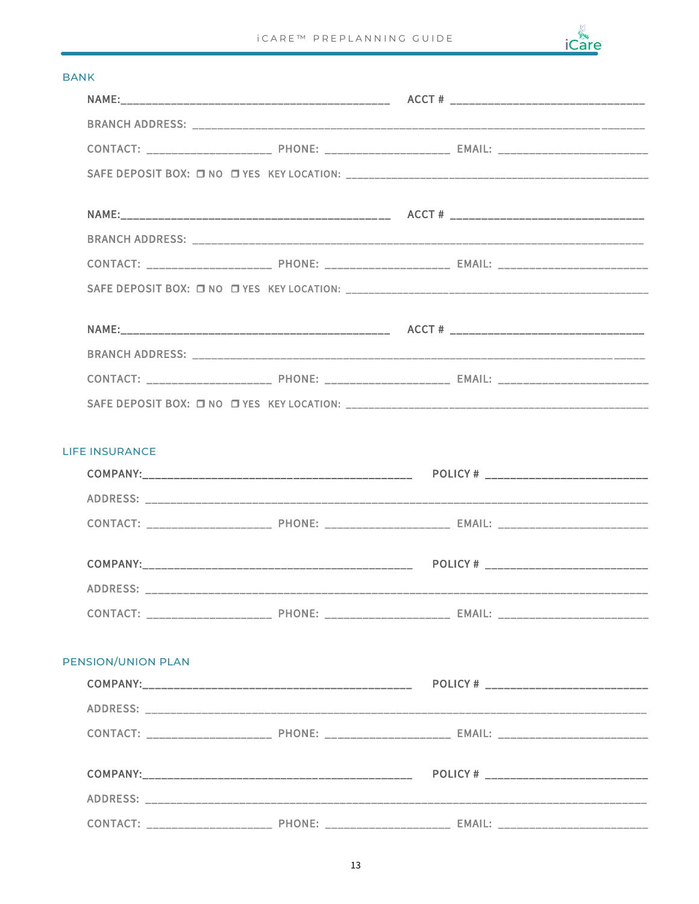

İCARE™ PREPLANNING GUIDE

| <b>BANK</b>               |                                        |
|---------------------------|----------------------------------------|
|                           |                                        |
|                           |                                        |
|                           |                                        |
|                           |                                        |
|                           |                                        |
|                           |                                        |
|                           |                                        |
|                           |                                        |
|                           |                                        |
|                           |                                        |
|                           |                                        |
|                           |                                        |
| <b>LIFE INSURANCE</b>     |                                        |
|                           |                                        |
|                           |                                        |
|                           |                                        |
| <b>PENSION/UNION PLAN</b> |                                        |
|                           | POLICY # _____________________________ |
|                           |                                        |
|                           |                                        |
|                           |                                        |
|                           |                                        |
|                           |                                        |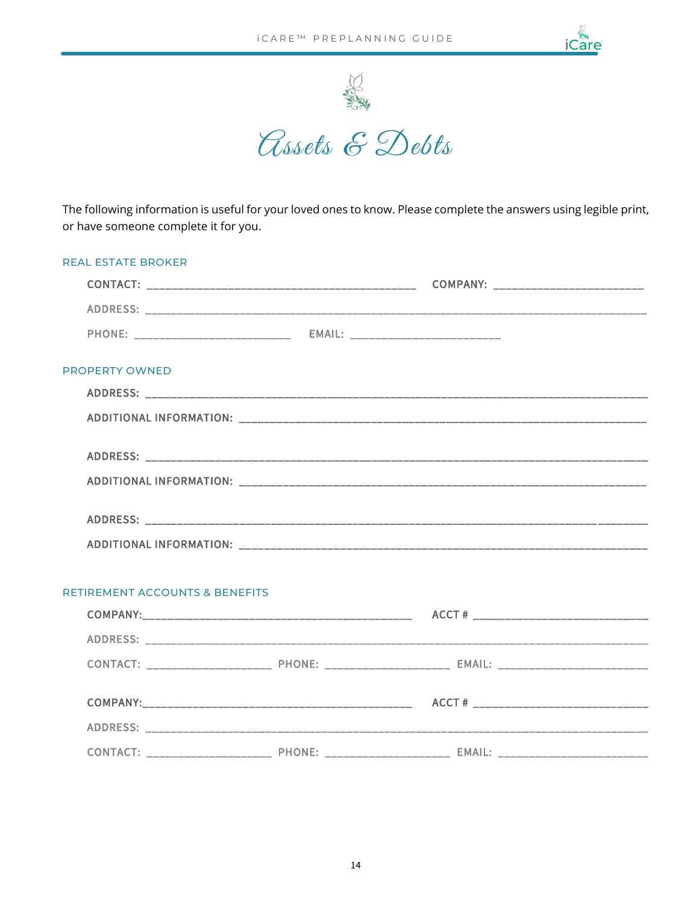



The following information is useful for your loved ones to know. Please complete the answers using legible print, or have someone complete it for you.

| <b>REAL ESTATE BROKER</b>                 |  |
|-------------------------------------------|--|
|                                           |  |
|                                           |  |
|                                           |  |
| <b>PROPERTY OWNED</b>                     |  |
|                                           |  |
|                                           |  |
|                                           |  |
|                                           |  |
|                                           |  |
|                                           |  |
| <b>RETIREMENT ACCOUNTS &amp; BENEFITS</b> |  |
|                                           |  |
|                                           |  |
|                                           |  |
|                                           |  |
|                                           |  |
|                                           |  |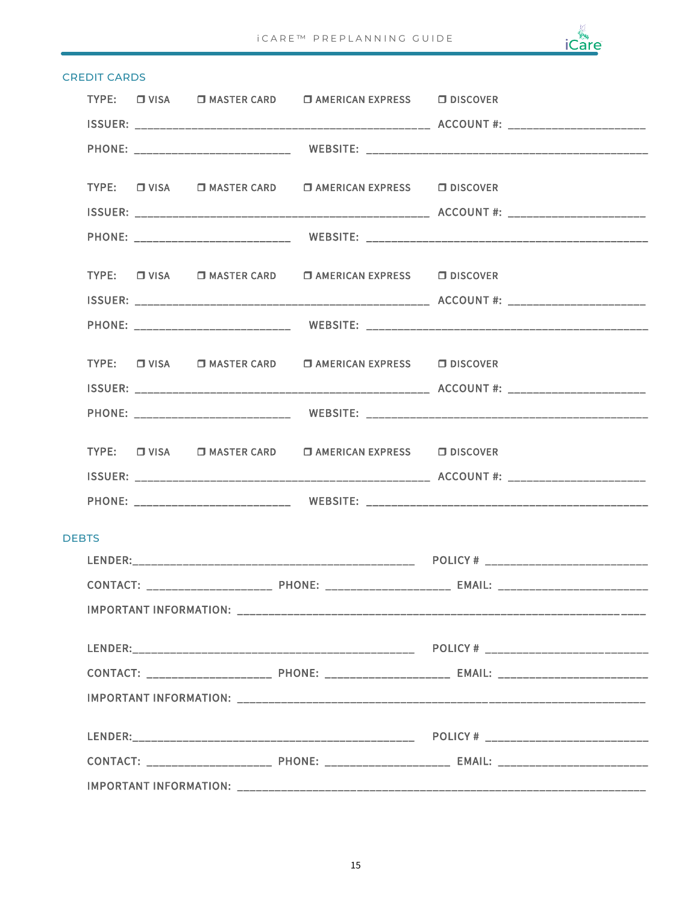

|              |  | TYPE: DIVISA DIMASTER CARD DI AMERICAN EXPRESS DI DISCOVER |  |
|--------------|--|------------------------------------------------------------|--|
|              |  |                                                            |  |
|              |  |                                                            |  |
|              |  |                                                            |  |
|              |  | TYPE: DIVISA DIMASTER CARD DI AMERICAN EXPRESS DI DISCOVER |  |
|              |  |                                                            |  |
|              |  |                                                            |  |
|              |  | TYPE: □ VISA □ MASTER CARD □ AMERICAN EXPRESS □ DISCOVER   |  |
|              |  |                                                            |  |
|              |  |                                                            |  |
|              |  |                                                            |  |
|              |  | TYPE: □ VISA □ MASTER CARD □ AMERICAN EXPRESS □ DISCOVER   |  |
|              |  |                                                            |  |
|              |  |                                                            |  |
|              |  |                                                            |  |
|              |  | TYPE: U VISA U MASTER CARD U AMERICAN EXPRESS U DISCOVER   |  |
|              |  |                                                            |  |
|              |  |                                                            |  |
| <b>DEBTS</b> |  |                                                            |  |
|              |  |                                                            |  |
|              |  |                                                            |  |
|              |  |                                                            |  |
|              |  |                                                            |  |
|              |  |                                                            |  |
|              |  |                                                            |  |
|              |  |                                                            |  |
|              |  |                                                            |  |
|              |  |                                                            |  |
|              |  |                                                            |  |

### **CREDIT CARDS**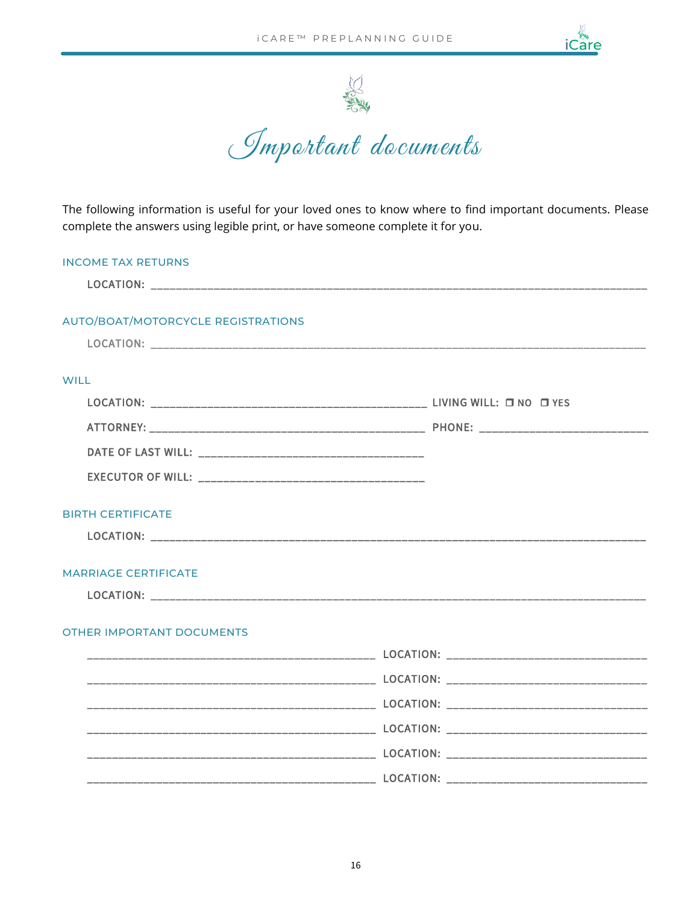



The following information is useful for your loved ones to know where to find important documents. Please complete the answers using legible print, or have someone complete it for you.

#### INCOME TAX RETURNS

| <b>AUTO/BOAT/MOTORCYCLE REGISTRATIONS</b> |  |
|-------------------------------------------|--|
|                                           |  |
| <b>WILL</b>                               |  |
|                                           |  |
|                                           |  |
|                                           |  |
|                                           |  |
| <b>BIRTH CERTIFICATE</b>                  |  |
|                                           |  |
| <b>MARRIAGE CERTIFICATE</b>               |  |
|                                           |  |
| <b>OTHER IMPORTANT DOCUMENTS</b>          |  |
|                                           |  |
|                                           |  |
|                                           |  |
|                                           |  |
|                                           |  |
|                                           |  |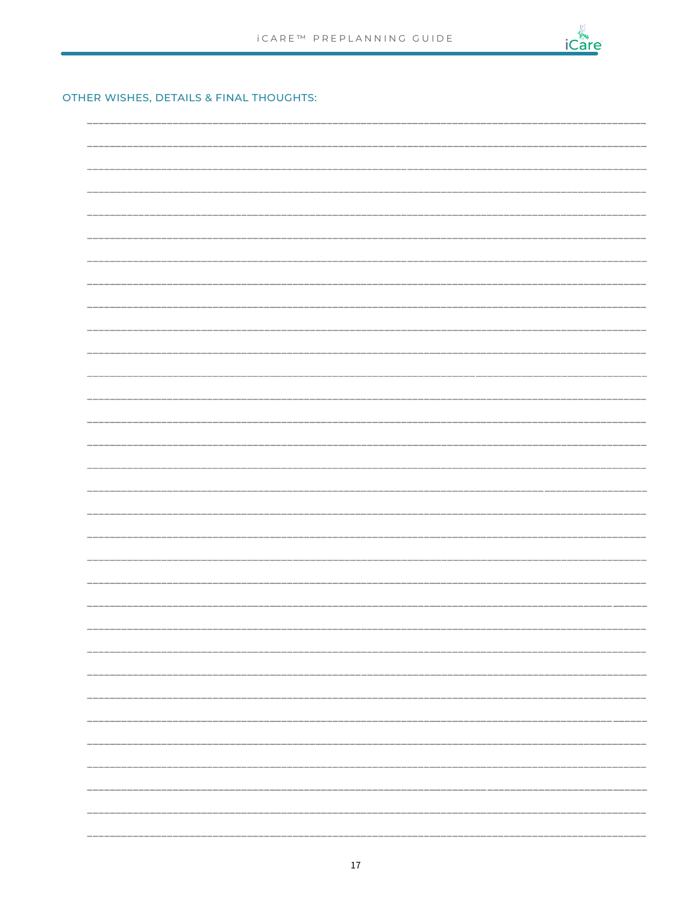

OTHER WISHES, DETAILS & FINAL THOUGHTS:

| -                        |
|--------------------------|
| -----                    |
| _____                    |
| -----                    |
| $----$                   |
| _________                |
| -                        |
| $\overline{\phantom{0}}$ |
|                          |